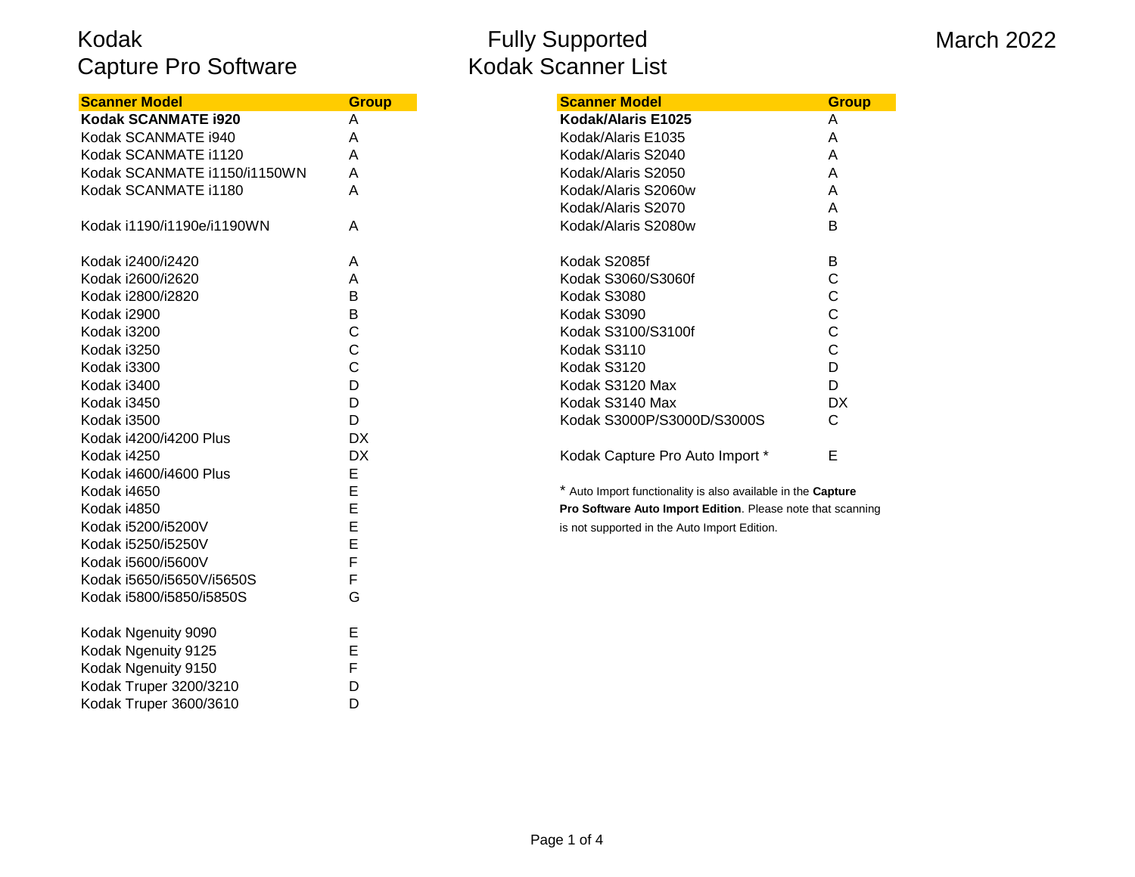| <b>Scanner Model</b>         | <b>Group</b> | <b>Scanner Model</b>                                        |
|------------------------------|--------------|-------------------------------------------------------------|
| Kodak SCANMATE i920          | A            | Kodak/Alaris E1025                                          |
| Kodak SCANMATE i940          | Α            | Kodak/Alaris E1035                                          |
| Kodak SCANMATE i1120         | Α            | Kodak/Alaris S2040                                          |
| Kodak SCANMATE i1150/i1150WN | A            | Kodak/Alaris S2050                                          |
| Kodak SCANMATE i1180         | A            | Kodak/Alaris S2060w                                         |
|                              |              | Kodak/Alaris S2070                                          |
| Kodak i1190/i1190e/i1190WN   | A            | Kodak/Alaris S2080w                                         |
| Kodak i2400/i2420            | A            | Kodak S2085f                                                |
| Kodak i2600/i2620            | A            | Kodak S3060/S3060f                                          |
| Kodak i2800/i2820            | В            | Kodak S3080                                                 |
| Kodak i2900                  | В            | Kodak S3090                                                 |
| Kodak i3200                  | C            | Kodak S3100/S3100f                                          |
| Kodak i3250                  | C            | Kodak S3110                                                 |
| Kodak i3300                  | C            | Kodak S3120                                                 |
| Kodak i3400                  | D            | Kodak S3120 Max                                             |
| Kodak i3450                  | D            | Kodak S3140 Max                                             |
| Kodak i3500                  | D            | Kodak S3000P/S3000D/S3000S                                  |
| Kodak i4200/i4200 Plus       | <b>DX</b>    |                                                             |
| Kodak i4250                  | <b>DX</b>    | Kodak Capture Pro Auto Import *                             |
| Kodak i4600/i4600 Plus       | E            |                                                             |
| Kodak i4650                  | E            | * Auto Import functionality is also available in the Captul |
| Kodak i4850                  | E            | Pro Software Auto Import Edition. Please note that sc       |
| Kodak i5200/i5200V           | E            | is not supported in the Auto Import Edition.                |
| Kodak i5250/i5250V           | E            |                                                             |
| Kodak i5600/i5600V           | F            |                                                             |
| Kodak i5650/i5650V/i5650S    | F            |                                                             |
| Kodak i5800/i5850/i5850S     | G            |                                                             |
| Kodak Ngenuity 9090          | Е            |                                                             |
| Kodak Ngenuity 9125          | E            |                                                             |
| Kodak Ngenuity 9150          | F            |                                                             |
| Kodak Truper 3200/3210       | D            |                                                             |
| Kodak Truper 3600/3610       | D            |                                                             |

#### Fully Supported Kodak Scanner List

#### March 2022

| <b>Scanner Model</b>         | <b>Group</b> | <b>Scanner Model</b>            | <b>Group</b> |
|------------------------------|--------------|---------------------------------|--------------|
| Kodak SCANMATE i920          | A            | Kodak/Alaris E1025              | A            |
| Kodak SCANMATE i940          | A            | Kodak/Alaris E1035              | A            |
| Kodak SCANMATE i1120         | A            | Kodak/Alaris S2040              | A            |
| Kodak SCANMATE i1150/i1150WN | Α            | Kodak/Alaris S2050              | A            |
| Kodak SCANMATE i1180         | Α            | Kodak/Alaris S2060w             | A            |
|                              |              | Kodak/Alaris S2070              | A            |
| Kodak i1190/i1190e/i1190WN   | A            | Kodak/Alaris S2080w             | В            |
| Kodak i2400/i2420            | A            | Kodak S2085f                    | B            |
| Kodak i2600/i2620            | A            | Kodak S3060/S3060f              |              |
| Kodak i2800/i2820            | B            | Kodak S3080                     |              |
| Kodak i2900                  | в            | Kodak S3090                     |              |
| Kodak i3200                  | С            | Kodak S3100/S3100f              | С            |
| Kodak i3250                  | C            | Kodak S3110                     |              |
| Kodak i3300                  | С            | Kodak S3120                     | D            |
| Kodak i3400                  | D            | Kodak S3120 Max                 | D            |
| Kodak i3450                  | D            | Kodak S3140 Max                 | DX           |
| Kodak i3500                  | D            | Kodak S3000P/S3000D/S3000S      | С            |
| Kodak i4200/i4200 Plus       | DX.          |                                 |              |
| Kodak i4250                  | DX           | Kodak Capture Pro Auto Import * | Е            |

\* Auto Import functionality is also available in the **Capture** Pro Software Auto Import Edition. Please note that scanning is not supported in the Auto Import Edition.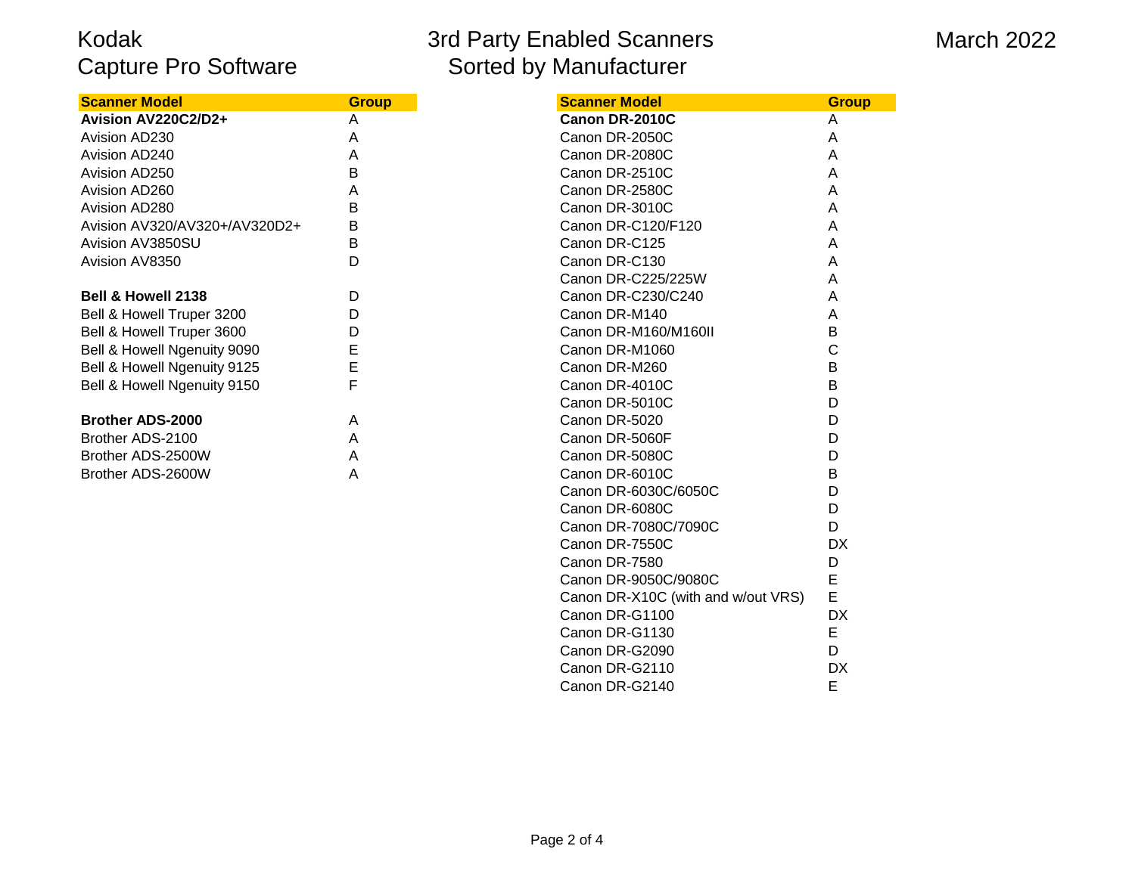# 3rd Party Enabled Scanners Sorted by Manufacturer

#### March 2022

| <b>Scanner Model</b>          | <b>Group</b> |
|-------------------------------|--------------|
| Avision AV220C2/D2+           | A            |
| Avision AD230                 | A            |
| Avision AD240                 | A            |
| Avision AD250                 | B            |
| Avision AD260                 | A            |
| Avision AD280                 | B            |
| Avision AV320/AV320+/AV320D2+ | В            |
| Avision AV3850SU              | B            |
| Avision AV8350                | D            |
|                               |              |
| <b>Bell &amp; Howell 2138</b> | D            |
| Bell & Howell Truper 3200     | D            |
| Bell & Howell Truper 3600     | D            |
| Bell & Howell Ngenuity 9090   | E            |
| Bell & Howell Ngenuity 9125   | E            |
| Bell & Howell Ngenuity 9150   | F            |
|                               |              |
| <b>Brother ADS-2000</b>       | A            |
| Brother ADS-2100              | A            |
| Brother ADS-2500W             | A            |
| Brother ADS-2600W             | A            |

| Scanner Model                      | Group     |
|------------------------------------|-----------|
| Canon DR-2010C                     | Α         |
| Canon DR-2050C                     | A         |
| Canon DR-2080C                     | A         |
| Canon DR-2510C                     | A         |
| Canon DR-2580C                     | A         |
| Canon DR-3010C                     | A         |
| Canon DR-C120/F120                 | A         |
| Canon DR-C125                      | A         |
| Canon DR-C130                      | A         |
| Canon DR-C225/225W                 | A         |
| Canon DR-C230/C240                 | A         |
| Canon DR-M140                      | A         |
| Canon DR-M160/M160II               | B         |
| Canon DR-M1060                     | C         |
| Canon DR-M260                      | B         |
| Canon DR-4010C                     | B         |
| Canon DR-5010C                     | D         |
| Canon DR-5020                      | D         |
| Canon DR-5060F                     | D         |
| Canon DR-5080C                     | D         |
| Canon DR-6010C                     | В         |
| Canon DR-6030C/6050C               | D         |
| Canon DR-6080C                     | D         |
| Canon DR-7080C/7090C               | D         |
| Canon DR-7550C                     | <b>DX</b> |
| Canon DR-7580                      | D         |
| Canon DR-9050C/9080C               | E         |
| Canon DR-X10C (with and w/out VRS) | E         |
| Canon DR-G1100                     | DX        |
| Canon DR-G1130                     | E         |
| Canon DR-G2090                     | D         |
| Canon DR-G2110                     | DX        |
| Canon DR-G2140                     | E         |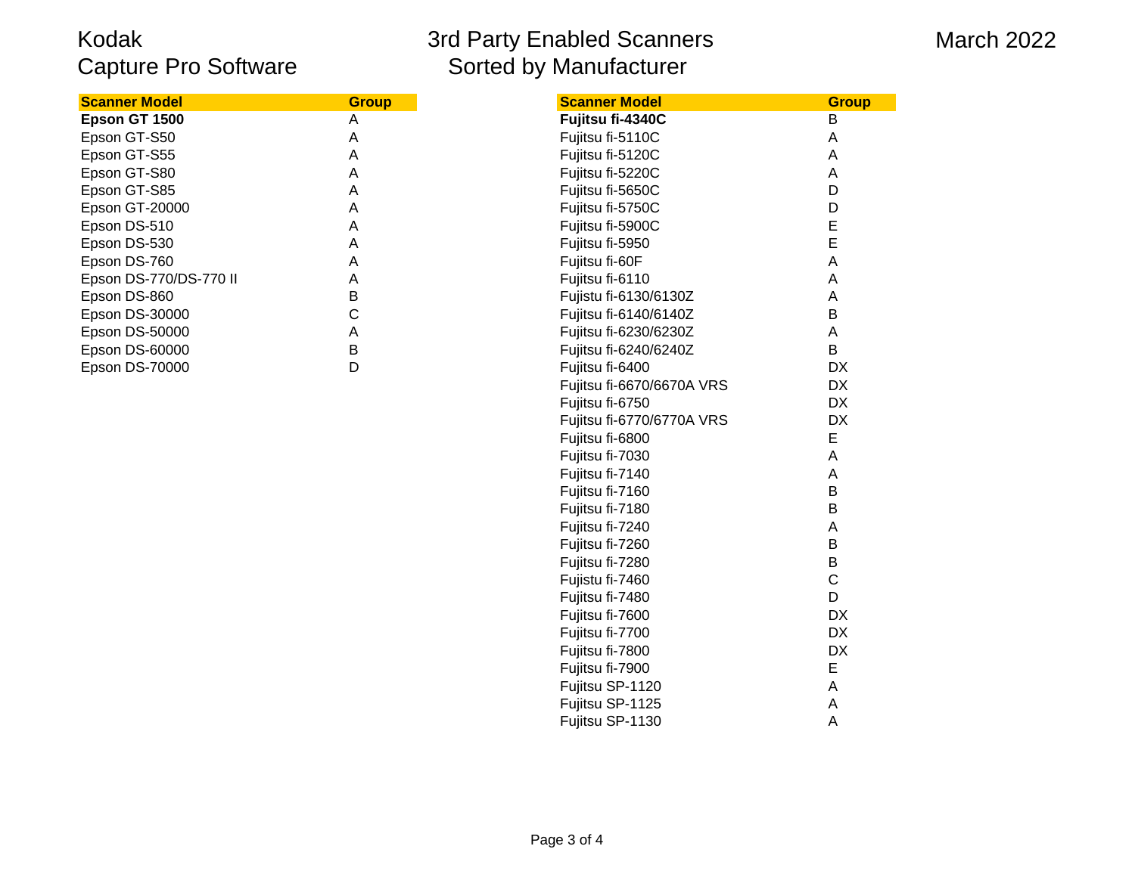# 3rd Party Enabled Scanners Sorted by Manufacturer

#### March 2022

| <b>Scanner Model</b>   | <b>Group</b> | <b>Scanner Model</b>  | <b>Group</b> |
|------------------------|--------------|-----------------------|--------------|
| Epson GT 1500          | А            | Fujitsu fi-4340C      | В            |
| Epson GT-S50           | Α            | Fujitsu fi-5110C      |              |
| Epson GT-S55           | A            | Fujitsu fi-5120C      | Α            |
| Epson GT-S80           | Α            | Fujitsu fi-5220C      |              |
| Epson GT-S85           | Α            | Fujitsu fi-5650C      |              |
| <b>Epson GT-20000</b>  | A            | Fujitsu fi-5750C      |              |
| Epson DS-510           | Α            | Fujitsu fi-5900C      |              |
| Epson DS-530           | A            | Fujitsu fi-5950       |              |
| Epson DS-760           | Α            | Fujitsu fi-60F        | A            |
| Epson DS-770/DS-770 II | A            | Fujitsu fi-6110       |              |
| Epson DS-860           | B            | Fujistu fi-6130/6130Z | Α            |
| Epson DS-30000         |              | Fujitsu fi-6140/6140Z | В            |
| <b>Epson DS-50000</b>  | Α            | Fujitsu fi-6230/6230Z |              |
| Epson DS-60000         | B            | Fujitsu fi-6240/6240Z | В            |
| <b>Epson DS-70000</b>  |              | Fujitsu fi-6400       | DХ           |

| <u>Scanner Model</u>   | <b>Group</b> | <b>Scanner Model</b>      | <b>Group</b> |
|------------------------|--------------|---------------------------|--------------|
| Epson GT 1500          | A            | Fujitsu fi-4340C          | B            |
| Epson GT-S50           | Α            | Fujitsu fi-5110C          | A            |
| Epson GT-S55           | Α            | Fujitsu fi-5120C          | Α            |
| Epson GT-S80           | Α            | Fujitsu fi-5220C          | Α            |
| Epson GT-S85           | A            | Fujitsu fi-5650C          | D            |
| Epson GT-20000         | A            | Fujitsu fi-5750C          | D            |
| Epson DS-510           | A            | Fujitsu fi-5900C          | E            |
| Epson DS-530           | A            | Fujitsu fi-5950           | E            |
| Epson DS-760           | Α            | Fujitsu fi-60F            | A            |
| Epson DS-770/DS-770 II | Α            | Fujitsu fi-6110           | A            |
| Epson DS-860           | B            | Fujistu fi-6130/6130Z     | A            |
| Epson DS-30000         | С            | Fujitsu fi-6140/6140Z     | B            |
| Epson DS-50000         | Α            | Fujitsu fi-6230/6230Z     | A            |
| Epson DS-60000         | B            | Fujitsu fi-6240/6240Z     | B            |
| Epson DS-70000         | D            | Fujitsu fi-6400           | <b>DX</b>    |
|                        |              | Fujitsu fi-6670/6670A VRS | <b>DX</b>    |
|                        |              | Fujitsu fi-6750           | <b>DX</b>    |
|                        |              | Fujitsu fi-6770/6770A VRS | <b>DX</b>    |
|                        |              | Fujitsu fi-6800           | Е            |
|                        |              | Fujitsu fi-7030           | A            |
|                        |              | Fujitsu fi-7140           | A            |
|                        |              | Fujitsu fi-7160           | B            |
|                        |              | Fujitsu fi-7180           | B            |
|                        |              | Fujitsu fi-7240           | A            |
|                        |              | Fujitsu fi-7260           | B            |
|                        |              | Fujitsu fi-7280           | B            |
|                        |              | Fujistu fi-7460           | $\mathsf C$  |
|                        |              | Fujitsu fi-7480           | D            |
|                        |              | Fujitsu fi-7600           | DX           |
|                        |              | Fujitsu fi-7700           | DX           |
|                        |              | Fujitsu fi-7800           | DX           |
|                        |              | Fujitsu fi-7900           | E            |
|                        |              | Fujitsu SP-1120           | A            |
|                        |              | Fujitsu SP-1125           | A            |
|                        |              | Fujitsu SP-1130           | A            |